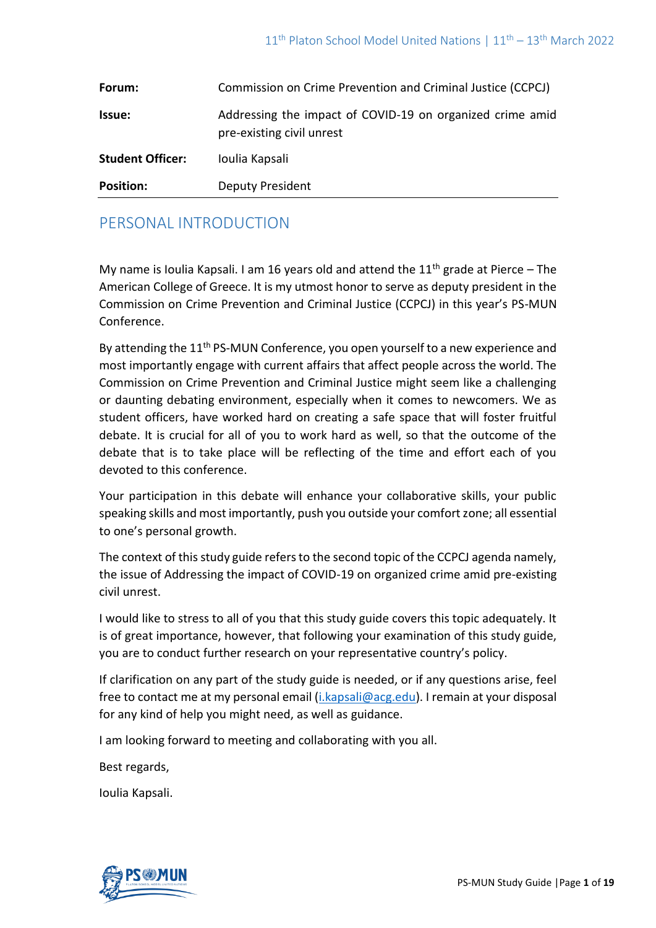| Forum:                  | Commission on Crime Prevention and Criminal Justice (CCPCJ)                            |
|-------------------------|----------------------------------------------------------------------------------------|
| <b>Issue:</b>           | Addressing the impact of COVID-19 on organized crime amid<br>pre-existing civil unrest |
| <b>Student Officer:</b> | Ioulia Kapsali                                                                         |
| <b>Position:</b>        | Deputy President                                                                       |

# PERSONAL INTRODUCTION

My name is Ioulia Kapsali. I am 16 years old and attend the  $11<sup>th</sup>$  grade at Pierce – The American College of Greece. It is my utmost honor to serve as deputy president in the Commission on Crime Prevention and Criminal Justice (CCPCJ) in this year's PS-MUN Conference.

By attending the 11<sup>th</sup> PS-MUN Conference, you open yourself to a new experience and most importantly engage with current affairs that affect people across the world. The Commission on Crime Prevention and Criminal Justice might seem like a challenging or daunting debating environment, especially when it comes to newcomers. We as student officers, have worked hard on creating a safe space that will foster fruitful debate. It is crucial for all of you to work hard as well, so that the outcome of the debate that is to take place will be reflecting of the time and effort each of you devoted to this conference.

Your participation in this debate will enhance your collaborative skills, your public speaking skills and most importantly, push you outside your comfort zone; all essential to one's personal growth.

The context of this study guide refers to the second topic of the CCPCJ agenda namely, the issue of Addressing the impact of COVID-19 on organized crime amid pre-existing civil unrest.

I would like to stress to all of you that this study guide covers this topic adequately. It is of great importance, however, that following your examination of this study guide, you are to conduct further research on your representative country's policy.

If clarification on any part of the study guide is needed, or if any questions arise, feel free to contact me at my personal email [\(i.kapsali@acg.edu\)](mailto:i.kapsali@acg.edu). I remain at your disposal for any kind of help you might need, as well as guidance.

I am looking forward to meeting and collaborating with you all.

Best regards,

Ioulia Kapsali.

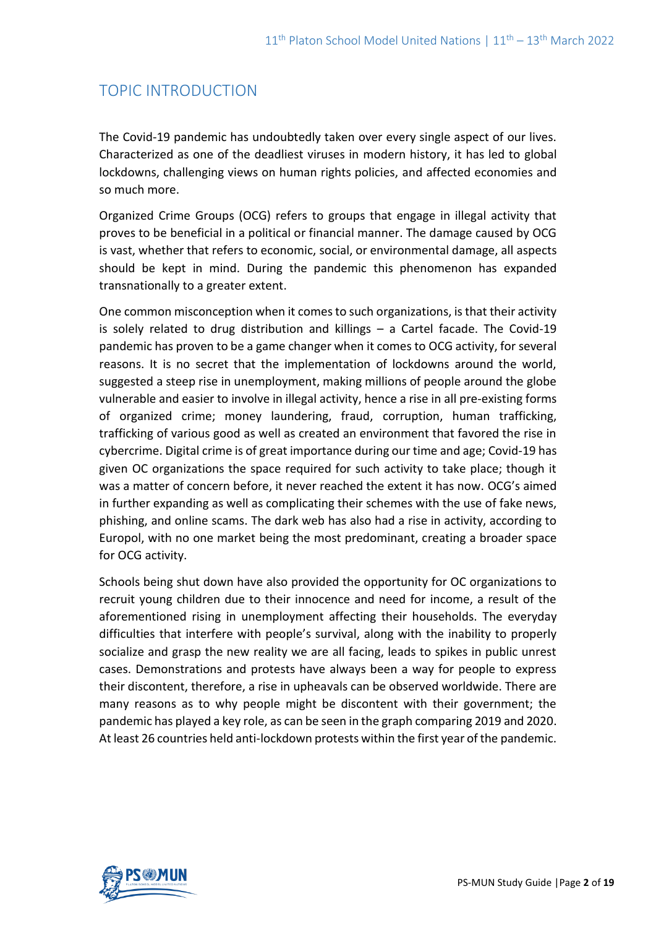# TOPIC INTRODUCTION

The Covid-19 pandemic has undoubtedly taken over every single aspect of our lives. Characterized as one of the deadliest viruses in modern history, it has led to global lockdowns, challenging views on human rights policies, and affected economies and so much more.

Organized Crime Groups (OCG) refers to groups that engage in illegal activity that proves to be beneficial in a political or financial manner. The damage caused by OCG is vast, whether that refers to economic, social, or environmental damage, all aspects should be kept in mind. During the pandemic this phenomenon has expanded transnationally to a greater extent.

One common misconception when it comes to such organizations, is that their activity is solely related to drug distribution and killings – a Cartel facade. The Covid-19 pandemic has proven to be a game changer when it comes to OCG activity, for several reasons. It is no secret that the implementation of lockdowns around the world, suggested a steep rise in unemployment, making millions of people around the globe vulnerable and easier to involve in illegal activity, hence a rise in all pre-existing forms of organized crime; money laundering, fraud, corruption, human trafficking, trafficking of various good as well as created an environment that favored the rise in cybercrime. Digital crime is of great importance during our time and age; Covid-19 has given OC organizations the space required for such activity to take place; though it was a matter of concern before, it never reached the extent it has now. OCG's aimed in further expanding as well as complicating their schemes with the use of fake news, phishing, and online scams. The dark web has also had a rise in activity, according to Europol, with no one market being the most predominant, creating a broader space for OCG activity.

Schools being shut down have also provided the opportunity for OC organizations to recruit young children due to their innocence and need for income, a result of the aforementioned rising in unemployment affecting their households. The everyday difficulties that interfere with people's survival, along with the inability to properly socialize and grasp the new reality we are all facing, leads to spikes in public unrest cases. Demonstrations and protests have always been a way for people to express their discontent, therefore, a rise in upheavals can be observed worldwide. There are many reasons as to why people might be discontent with their government; the pandemic has played a key role, as can be seen in the graph comparing 2019 and 2020. At least 26 countries held anti-lockdown protests within the first year of the pandemic.

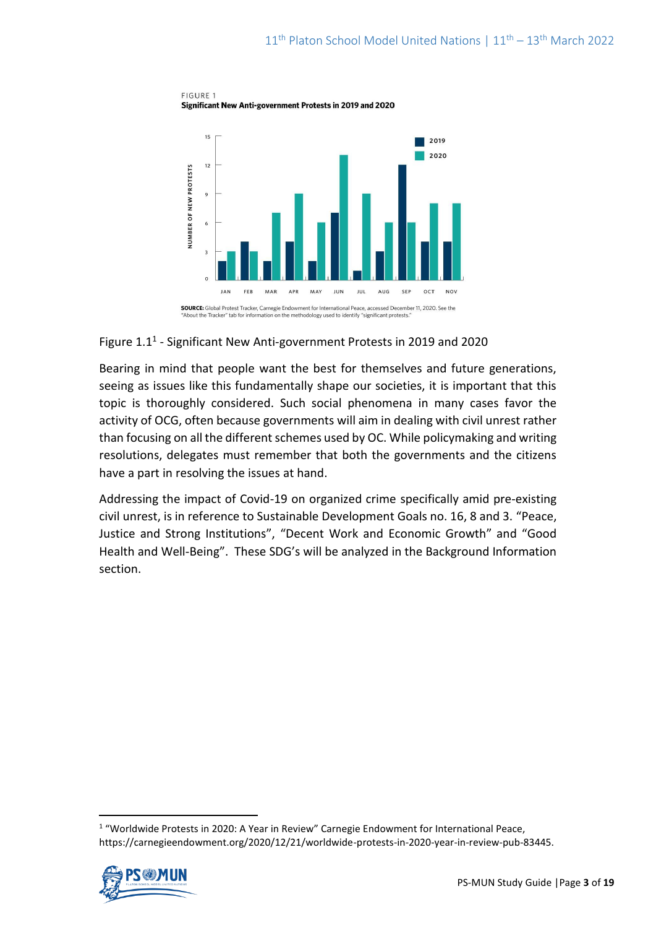FIGURE 1 Significant New Anti-government Protests in 2019 and 2020



## Figure 1.1<sup>1</sup> - Significant New Anti-government Protests in 2019 and 2020

Bearing in mind that people want the best for themselves and future generations, seeing as issues like this fundamentally shape our societies, it is important that this topic is thoroughly considered. Such social phenomena in many cases favor the activity of OCG, often because governments will aim in dealing with civil unrest rather than focusing on all the different schemes used by OC. While policymaking and writing resolutions, delegates must remember that both the governments and the citizens have a part in resolving the issues at hand.

Addressing the impact of Covid-19 on organized crime specifically amid pre-existing civil unrest, is in reference to Sustainable Development Goals no. 16, 8 and 3. "Peace, Justice and Strong Institutions", "Decent Work and Economic Growth" and "Good Health and Well-Being". These SDG's will be analyzed in the Background Information section.

<sup>&</sup>lt;sup>1</sup> "Worldwide Protests in 2020: A Year in Review" Carnegie Endowment for International Peace, https://carnegieendowment.org/2020/12/21/worldwide-protests-in-2020-year-in-review-pub-83445.

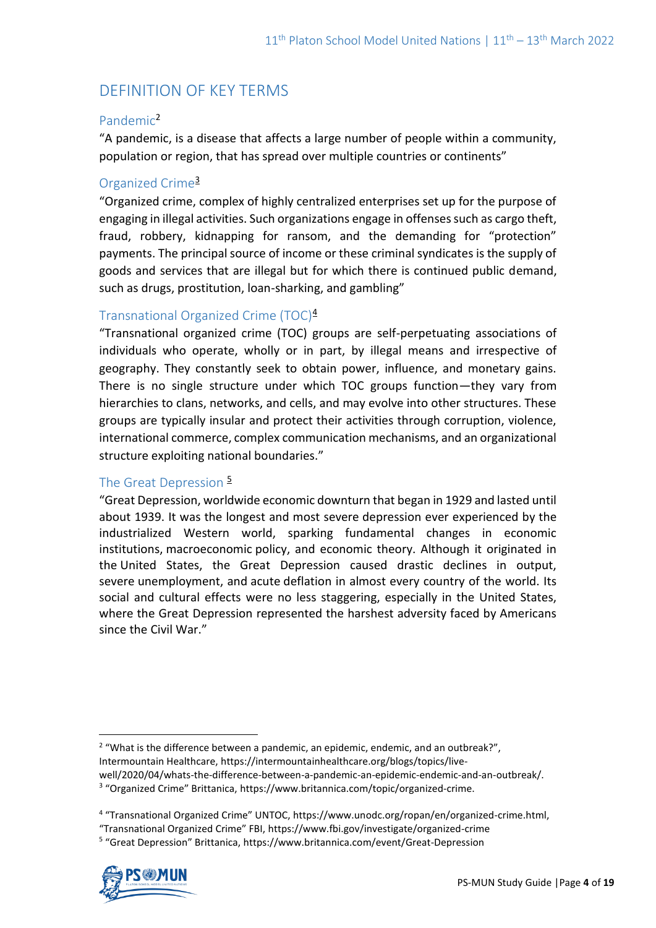# DEFINITION OF KEY TERMS

## Pandemic<sup>2</sup>

"A pandemic, is a disease that affects a large number of people within a community, population or region, that has spread over multiple countries or continents"

# Organized Crime<sup>3</sup>

"Organized crime, complex of highly centralized enterprises set up for the purpose of engaging in illegal activities. Such organizations engage in offenses such as cargo theft, fraud, robbery, kidnapping for ransom, and the demanding for "protection" payments. The principal source of income or these criminal syndicates is the supply of goods and services that are illegal but for which there is continued public demand, such as drugs, prostitution, loan-sharking, and gambling"

# Transnational Organized Crime (TOC)<sup>4</sup>

"Transnational organized crime (TOC) groups are self-perpetuating associations of individuals who operate, wholly or in part, by illegal means and irrespective of geography. They constantly seek to obtain power, influence, and monetary gains. There is no single structure under which TOC groups function—they vary from hierarchies to clans, networks, and cells, and may evolve into other structures. These groups are typically insular and protect their activities through corruption, violence, international commerce, complex communication mechanisms, and an organizational structure exploiting national boundaries."

## The Great Depression  $\frac{5}{5}$

"Great Depression, worldwide economic downturn that began in 1929 and lasted until about 1939. It was the longest and most severe depression ever experienced by the industrialized Western world, sparking fundamental changes in economic institutions, macroeconomic policy, and economic theory. Although it originated in the United States, the Great Depression caused drastic declines in output, severe unemployment, and acute deflation in almost every country of the world. Its social and cultural effects were no less staggering, especially in the United States, where the Great Depression represented the harshest adversity faced by Americans since the Civil War."

<sup>5</sup> "Great Depression" Brittanica, https://www.britannica.com/event/Great-Depression



<sup>&</sup>lt;sup>2</sup> "What is the difference between a pandemic, an epidemic, endemic, and an outbreak?", Intermountain Healthcare, https://intermountainhealthcare.org/blogs/topics/livewell/2020/04/whats-the-difference-between-a-pandemic-an-epidemic-endemic-and-an-outbreak/.

<sup>&</sup>lt;sup>3</sup> "Organized Crime" Brittanica, https://www.britannica.com/topic/organized-crime.

<sup>&</sup>lt;sup>4</sup> "Transnational Organized Crime" UNTOC, https://www.unodc.org/ropan/en/organized-crime.html,

<sup>&</sup>quot;Transnational Organized Crime" FBI, https://www.fbi.gov/investigate/organized-crime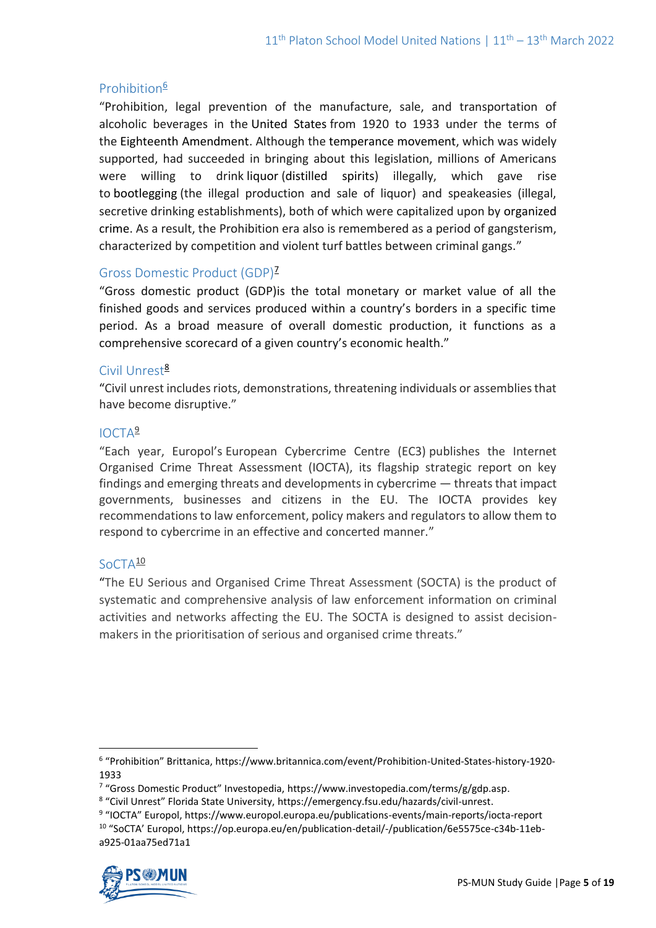# Prohibition<sup>6</sup>

"Prohibition, legal prevention of the manufacture, sale, and transportation of alcoholic beverages in the United States from 1920 to 1933 under the terms of the Eighteenth Amendment. Although the temperance movement, which was widely supported, had succeeded in bringing about this legislation, millions of Americans were willing to drink liquor (distilled spirits) illegally, which gave rise to bootlegging (the illegal production and sale of liquor) and speakeasies (illegal, secretive drinking establishments), both of which were capitalized upon by organized crime. As a result, the Prohibition era also is remembered as a period of gangsterism, characterized by competition and violent turf battles between criminal gangs."

## Gross Domestic Product (GDP)<sup>7</sup>

"Gross domestic product (GDP)is the total monetary or market value of all the finished goods and services produced within a country's borders in a specific time period. As a broad measure of overall domestic production, it functions as a comprehensive scorecard of a given country's economic health."

## Civil Unrest<sup>8</sup>

"Civil unrest includes riots, demonstrations, threatening individuals or assemblies that have become disruptive."

# IOCTA<sup>9</sup>

"Each year, Europol's European Cybercrime Centre (EC3) publishes the Internet Organised Crime Threat Assessment (IOCTA), its flagship strategic report on key findings and emerging threats and developments in cybercrime — threats that impact governments, businesses and citizens in the EU. The IOCTA provides key recommendations to law enforcement, policy makers and regulators to allow them to respond to cybercrime in an effective and concerted manner."

## SoCTA<sup>10</sup>

"The EU Serious and Organised Crime Threat Assessment (SOCTA) is the product of systematic and comprehensive analysis of law enforcement information on criminal activities and networks affecting the EU. The SOCTA is designed to assist decisionmakers in the prioritisation of serious and organised crime threats."

<sup>9</sup> "IOCTA" Europol, https://www.europol.europa.eu/publications-events/main-reports/iocta-report <sup>10</sup> "SoCTA' Europol, https://op.europa.eu/en/publication-detail/-/publication/6e5575ce-c34b-11eba925-01aa75ed71a1



<sup>6</sup> "Prohibition" Brittanica, https://www.britannica.com/event/Prohibition-United-States-history-1920- 1933

<sup>&</sup>lt;sup>7</sup> "Gross Domestic Product" Investopedia, https://www.investopedia.com/terms/g/gdp.asp.

<sup>8</sup> "Civil Unrest" Florida State University, https://emergency.fsu.edu/hazards/civil-unrest.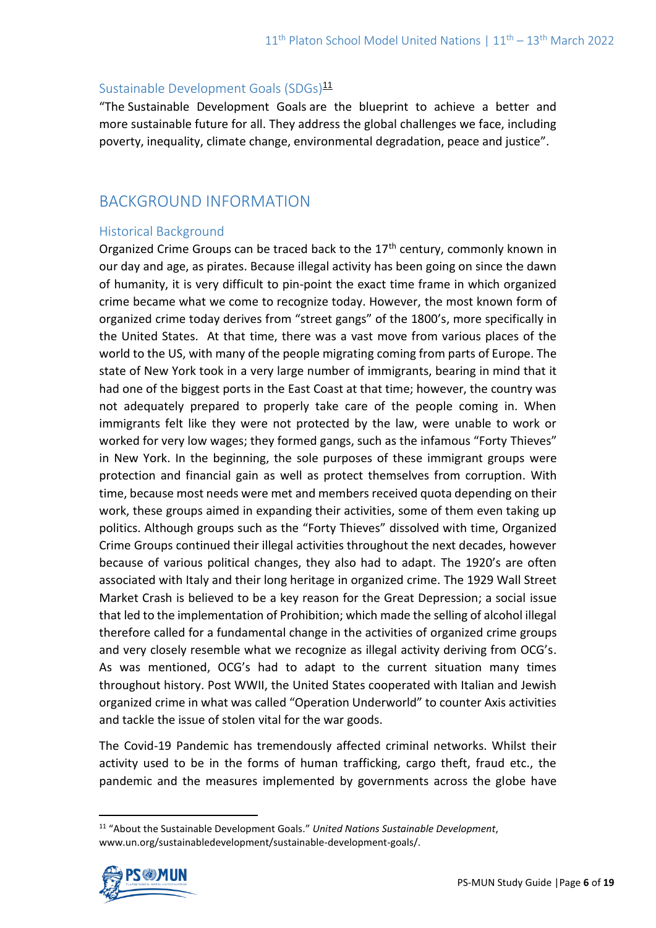## Sustainable Development Goals (SDGs)<sup>11</sup>

"The Sustainable Development Goals are the blueprint to achieve a better and more sustainable future for all. They address the global challenges we face, including poverty, inequality, climate change, environmental degradation, peace and justice".

# BACKGROUND INFORMATION

# Historical Background

Organized Crime Groups can be traced back to the 17<sup>th</sup> century, commonly known in our day and age, as pirates. Because illegal activity has been going on since the dawn of humanity, it is very difficult to pin-point the exact time frame in which organized crime became what we come to recognize today. However, the most known form of organized crime today derives from "street gangs" of the 1800's, more specifically in the United States. At that time, there was a vast move from various places of the world to the US, with many of the people migrating coming from parts of Europe. The state of New York took in a very large number of immigrants, bearing in mind that it had one of the biggest ports in the East Coast at that time; however, the country was not adequately prepared to properly take care of the people coming in. When immigrants felt like they were not protected by the law, were unable to work or worked for very low wages; they formed gangs, such as the infamous "Forty Thieves" in New York. In the beginning, the sole purposes of these immigrant groups were protection and financial gain as well as protect themselves from corruption. With time, because most needs were met and members received quota depending on their work, these groups aimed in expanding their activities, some of them even taking up politics. Although groups such as the "Forty Thieves" dissolved with time, Organized Crime Groups continued their illegal activities throughout the next decades, however because of various political changes, they also had to adapt. The 1920's are often associated with Italy and their long heritage in organized crime. The 1929 Wall Street Market Crash is believed to be a key reason for the Great Depression; a social issue that led to the implementation of Prohibition; which made the selling of alcohol illegal therefore called for a fundamental change in the activities of organized crime groups and very closely resemble what we recognize as illegal activity deriving from OCG's. As was mentioned, OCG's had to adapt to the current situation many times throughout history. Post WWII, the United States cooperated with Italian and Jewish organized crime in what was called "Operation Underworld" to counter Axis activities and tackle the issue of stolen vital for the war goods.

The Covid-19 Pandemic has tremendously affected criminal networks. Whilst their activity used to be in the forms of human trafficking, cargo theft, fraud etc., the pandemic and the measures implemented by governments across the globe have

<sup>11</sup> "About the Sustainable Development Goals." *United Nations Sustainable Development*, www.un.org/sustainabledevelopment/sustainable-development-goals/.

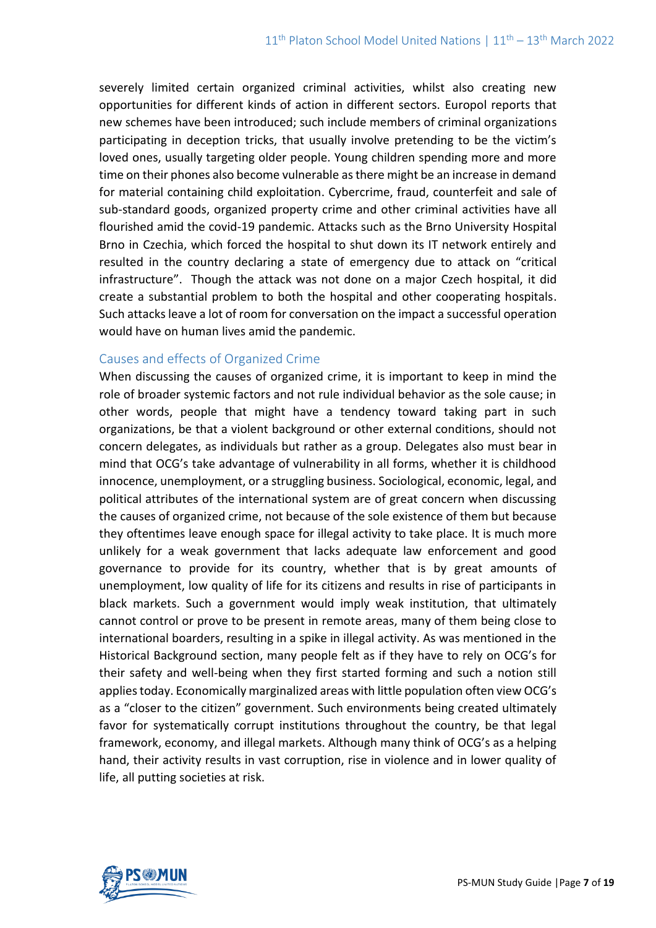severely limited certain organized criminal activities, whilst also creating new opportunities for different kinds of action in different sectors. Europol reports that new schemes have been introduced; such include members of criminal organizations participating in deception tricks, that usually involve pretending to be the victim's loved ones, usually targeting older people. Young children spending more and more time on their phones also become vulnerable as there might be an increase in demand for material containing child exploitation. Cybercrime, fraud, counterfeit and sale of sub-standard goods, organized property crime and other criminal activities have all flourished amid the covid-19 pandemic. Attacks such as the Brno University Hospital Brno in Czechia, which forced the hospital to shut down its IT network entirely and resulted in the country declaring a state of emergency due to attack on "critical infrastructure". Though the attack was not done on a major Czech hospital, it did create a substantial problem to both the hospital and other cooperating hospitals. Such attacks leave a lot of room for conversation on the impact a successful operation would have on human lives amid the pandemic.

### Causes and effects of Organized Crime

When discussing the causes of organized crime, it is important to keep in mind the role of broader systemic factors and not rule individual behavior as the sole cause; in other words, people that might have a tendency toward taking part in such organizations, be that a violent background or other external conditions, should not concern delegates, as individuals but rather as a group. Delegates also must bear in mind that OCG's take advantage of vulnerability in all forms, whether it is childhood innocence, unemployment, or a struggling business. Sociological, economic, legal, and political attributes of the international system are of great concern when discussing the causes of organized crime, not because of the sole existence of them but because they oftentimes leave enough space for illegal activity to take place. It is much more unlikely for a weak government that lacks adequate law enforcement and good governance to provide for its country, whether that is by great amounts of unemployment, low quality of life for its citizens and results in rise of participants in black markets. Such a government would imply weak institution, that ultimately cannot control or prove to be present in remote areas, many of them being close to international boarders, resulting in a spike in illegal activity. As was mentioned in the Historical Background section, many people felt as if they have to rely on OCG's for their safety and well-being when they first started forming and such a notion still applies today. Economically marginalized areas with little population often view OCG's as a "closer to the citizen" government. Such environments being created ultimately favor for systematically corrupt institutions throughout the country, be that legal framework, economy, and illegal markets. Although many think of OCG's as a helping hand, their activity results in vast corruption, rise in violence and in lower quality of life, all putting societies at risk.

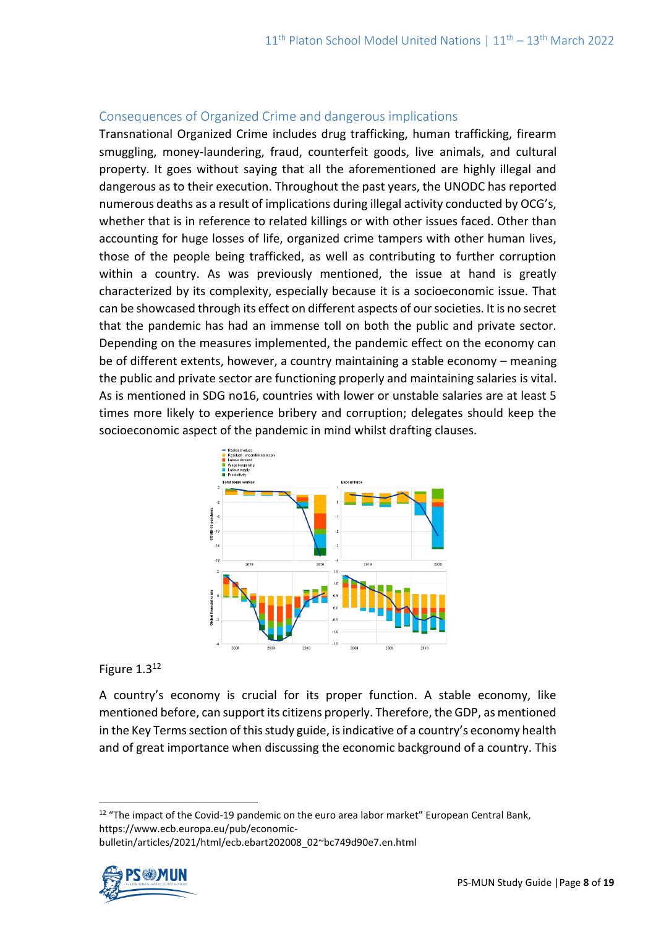## Consequences of Organized Crime and dangerous implications

Transnational Organized Crime includes drug trafficking, human trafficking, firearm smuggling, money-laundering, fraud, counterfeit goods, live animals, and cultural property. It goes without saying that all the aforementioned are highly illegal and dangerous as to their execution. Throughout the past years, the UNODC has reported numerous deaths as a result of implications during illegal activity conducted by OCG's, whether that is in reference to related killings or with other issues faced. Other than accounting for huge losses of life, organized crime tampers with other human lives, those of the people being trafficked, as well as contributing to further corruption within a country. As was previously mentioned, the issue at hand is greatly characterized by its complexity, especially because it is a socioeconomic issue. That can be showcased through its effect on different aspects of our societies. It is no secret that the pandemic has had an immense toll on both the public and private sector. Depending on the measures implemented, the pandemic effect on the economy can be of different extents, however, a country maintaining a stable economy – meaning the public and private sector are functioning properly and maintaining salaries is vital. As is mentioned in SDG no16, countries with lower or unstable salaries are at least 5 times more likely to experience bribery and corruption; delegates should keep the socioeconomic aspect of the pandemic in mind whilst drafting clauses.



#### Figure 1.3<sup>12</sup>

A country's economy is crucial for its proper function. A stable economy, like mentioned before, can support its citizens properly. Therefore, the GDP, as mentioned in the Key Terms section of this study guide, is indicative of a country's economy health and of great importance when discussing the economic background of a country. This

<sup>&</sup>lt;sup>12</sup> "The impact of the Covid-19 pandemic on the euro area labor market" European Central Bank, https://www.ecb.europa.eu/pub/economicbulletin/articles/2021/html/ecb.ebart202008\_02~bc749d90e7.en.html

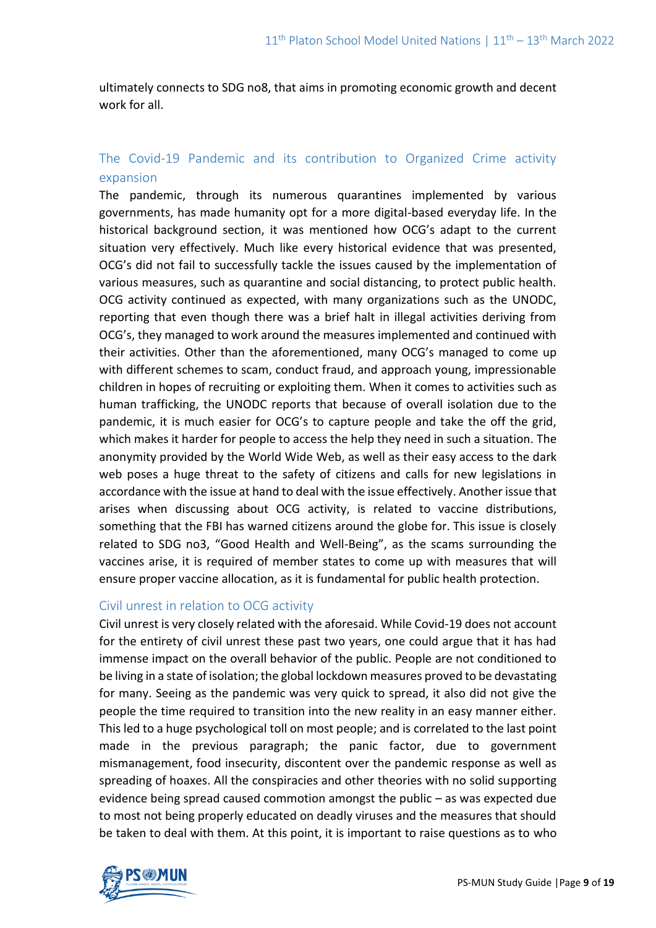ultimately connects to SDG no8, that aims in promoting economic growth and decent work for all.

# The Covid-19 Pandemic and its contribution to Organized Crime activity expansion

The pandemic, through its numerous quarantines implemented by various governments, has made humanity opt for a more digital-based everyday life. In the historical background section, it was mentioned how OCG's adapt to the current situation very effectively. Much like every historical evidence that was presented, OCG's did not fail to successfully tackle the issues caused by the implementation of various measures, such as quarantine and social distancing, to protect public health. OCG activity continued as expected, with many organizations such as the UNODC, reporting that even though there was a brief halt in illegal activities deriving from OCG's, they managed to work around the measures implemented and continued with their activities. Other than the aforementioned, many OCG's managed to come up with different schemes to scam, conduct fraud, and approach young, impressionable children in hopes of recruiting or exploiting them. When it comes to activities such as human trafficking, the UNODC reports that because of overall isolation due to the pandemic, it is much easier for OCG's to capture people and take the off the grid, which makes it harder for people to access the help they need in such a situation. The anonymity provided by the World Wide Web, as well as their easy access to the dark web poses a huge threat to the safety of citizens and calls for new legislations in accordance with the issue at hand to deal with the issue effectively. Another issue that arises when discussing about OCG activity, is related to vaccine distributions, something that the FBI has warned citizens around the globe for. This issue is closely related to SDG no3, "Good Health and Well-Being", as the scams surrounding the vaccines arise, it is required of member states to come up with measures that will ensure proper vaccine allocation, as it is fundamental for public health protection.

#### Civil unrest in relation to OCG activity

Civil unrest is very closely related with the aforesaid. While Covid-19 does not account for the entirety of civil unrest these past two years, one could argue that it has had immense impact on the overall behavior of the public. People are not conditioned to be living in a state of isolation; the global lockdown measures proved to be devastating for many. Seeing as the pandemic was very quick to spread, it also did not give the people the time required to transition into the new reality in an easy manner either. This led to a huge psychological toll on most people; and is correlated to the last point made in the previous paragraph; the panic factor, due to government mismanagement, food insecurity, discontent over the pandemic response as well as spreading of hoaxes. All the conspiracies and other theories with no solid supporting evidence being spread caused commotion amongst the public – as was expected due to most not being properly educated on deadly viruses and the measures that should be taken to deal with them. At this point, it is important to raise questions as to who

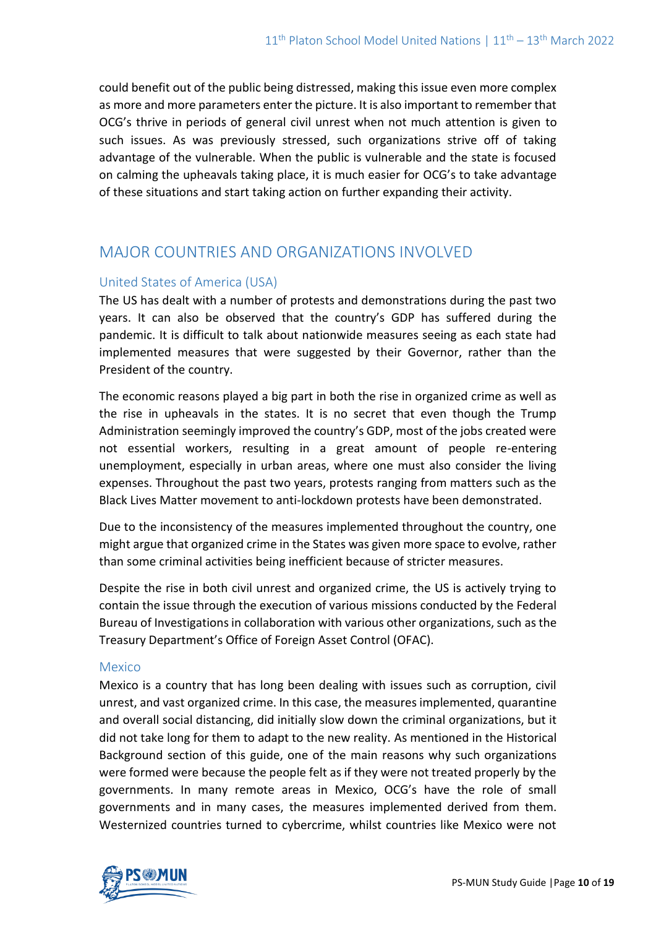could benefit out of the public being distressed, making this issue even more complex as more and more parameters enter the picture. It is also important to remember that OCG's thrive in periods of general civil unrest when not much attention is given to such issues. As was previously stressed, such organizations strive off of taking advantage of the vulnerable. When the public is vulnerable and the state is focused on calming the upheavals taking place, it is much easier for OCG's to take advantage of these situations and start taking action on further expanding their activity.

# MAJOR COUNTRIES AND ORGANIZATIONS INVOLVED

## United States of America (USA)

The US has dealt with a number of protests and demonstrations during the past two years. It can also be observed that the country's GDP has suffered during the pandemic. It is difficult to talk about nationwide measures seeing as each state had implemented measures that were suggested by their Governor, rather than the President of the country.

The economic reasons played a big part in both the rise in organized crime as well as the rise in upheavals in the states. It is no secret that even though the Trump Administration seemingly improved the country's GDP, most of the jobs created were not essential workers, resulting in a great amount of people re-entering unemployment, especially in urban areas, where one must also consider the living expenses. Throughout the past two years, protests ranging from matters such as the Black Lives Matter movement to anti-lockdown protests have been demonstrated.

Due to the inconsistency of the measures implemented throughout the country, one might argue that organized crime in the States was given more space to evolve, rather than some criminal activities being inefficient because of stricter measures.

Despite the rise in both civil unrest and organized crime, the US is actively trying to contain the issue through the execution of various missions conducted by the Federal Bureau of Investigations in collaboration with various other organizations, such as the Treasury Department's Office of Foreign Asset Control (OFAC).

#### Mexico

Mexico is a country that has long been dealing with issues such as corruption, civil unrest, and vast organized crime. In this case, the measures implemented, quarantine and overall social distancing, did initially slow down the criminal organizations, but it did not take long for them to adapt to the new reality. As mentioned in the Historical Background section of this guide, one of the main reasons why such organizations were formed were because the people felt as if they were not treated properly by the governments. In many remote areas in Mexico, OCG's have the role of small governments and in many cases, the measures implemented derived from them. Westernized countries turned to cybercrime, whilst countries like Mexico were not

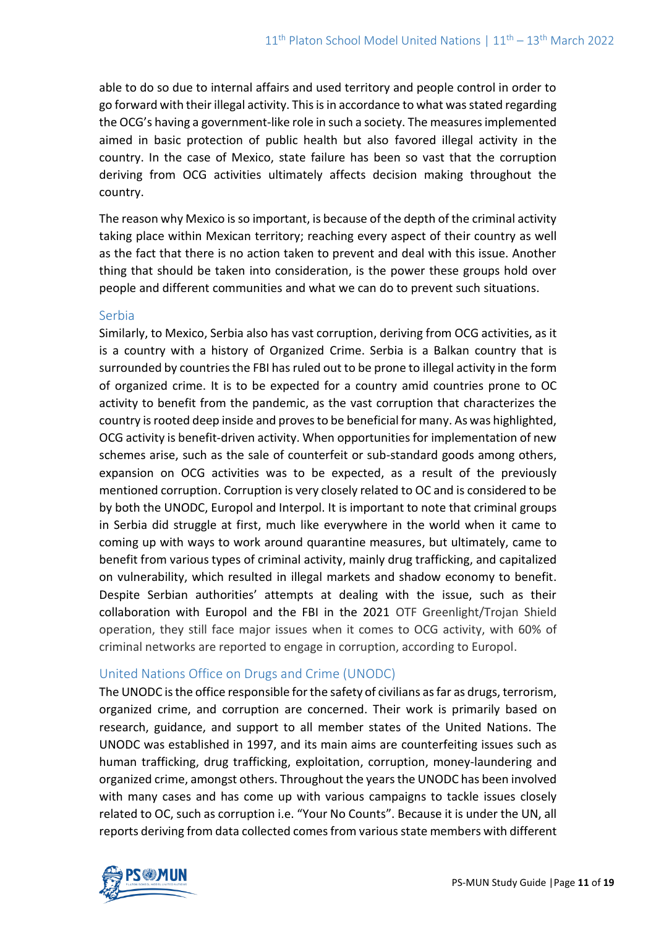able to do so due to internal affairs and used territory and people control in order to go forward with their illegal activity. This is in accordance to what wasstated regarding the OCG's having a government-like role in such a society. The measures implemented aimed in basic protection of public health but also favored illegal activity in the country. In the case of Mexico, state failure has been so vast that the corruption deriving from OCG activities ultimately affects decision making throughout the country.

The reason why Mexico is so important, is because of the depth of the criminal activity taking place within Mexican territory; reaching every aspect of their country as well as the fact that there is no action taken to prevent and deal with this issue. Another thing that should be taken into consideration, is the power these groups hold over people and different communities and what we can do to prevent such situations.

### Serbia

Similarly, to Mexico, Serbia also has vast corruption, deriving from OCG activities, as it is a country with a history of Organized Crime. Serbia is a Balkan country that is surrounded by countries the FBI has ruled out to be prone to illegal activity in the form of organized crime. It is to be expected for a country amid countries prone to OC activity to benefit from the pandemic, as the vast corruption that characterizes the country is rooted deep inside and proves to be beneficial for many. As was highlighted, OCG activity is benefit-driven activity. When opportunities for implementation of new schemes arise, such as the sale of counterfeit or sub-standard goods among others, expansion on OCG activities was to be expected, as a result of the previously mentioned corruption. Corruption is very closely related to OC and is considered to be by both the UNODC, Europol and Interpol. It is important to note that criminal groups in Serbia did struggle at first, much like everywhere in the world when it came to coming up with ways to work around quarantine measures, but ultimately, came to benefit from various types of criminal activity, mainly drug trafficking, and capitalized on vulnerability, which resulted in illegal markets and shadow economy to benefit. Despite Serbian authorities' attempts at dealing with the issue, such as their collaboration with Europol and the FBI in the 2021 OTF Greenlight/Trojan Shield operation, they still face major issues when it comes to OCG activity, with 60% of criminal networks are reported to engage in corruption, according to Europol.

# United Nations Office on Drugs and Crime (UNODC)

The UNODC is the office responsible for the safety of civilians as far as drugs, terrorism, organized crime, and corruption are concerned. Their work is primarily based on research, guidance, and support to all member states of the United Nations. The UNODC was established in 1997, and its main aims are counterfeiting issues such as human trafficking, drug trafficking, exploitation, corruption, money-laundering and organized crime, amongst others. Throughout the years the UNODC has been involved with many cases and has come up with various campaigns to tackle issues closely related to OC, such as corruption i.e. "Your No Counts". Because it is under the UN, all reports deriving from data collected comes from various state members with different

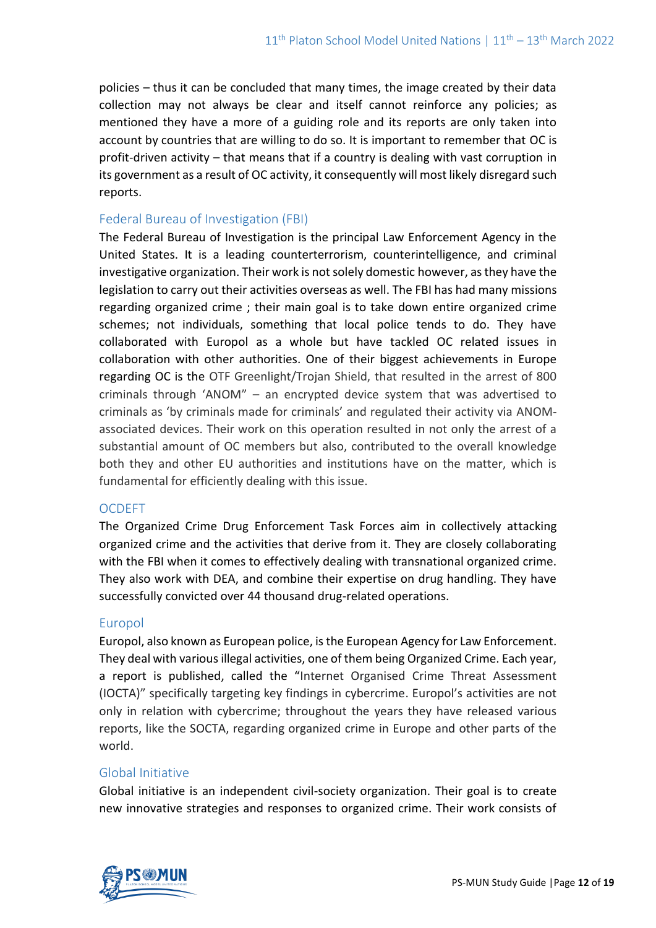policies – thus it can be concluded that many times, the image created by their data collection may not always be clear and itself cannot reinforce any policies; as mentioned they have a more of a guiding role and its reports are only taken into account by countries that are willing to do so. It is important to remember that OC is profit-driven activity – that means that if a country is dealing with vast corruption in its government as a result of OC activity, it consequently will most likely disregard such reports.

#### Federal Bureau of Investigation (FBI)

The Federal Bureau of Investigation is the principal Law Enforcement Agency in the United States. It is a leading counterterrorism, counterintelligence, and criminal investigative organization. Their work is not solely domestic however, as they have the legislation to carry out their activities overseas as well. The FBI has had many missions regarding organized crime ; their main goal is to take down entire organized crime schemes; not individuals, something that local police tends to do. They have collaborated with Europol as a whole but have tackled OC related issues in collaboration with other authorities. One of their biggest achievements in Europe regarding OC is the OTF Greenlight/Trojan Shield, that resulted in the arrest of 800 criminals through 'ANOM" – an encrypted device system that was advertised to criminals as 'by criminals made for criminals' and regulated their activity via ANOMassociated devices. Their work on this operation resulted in not only the arrest of a substantial amount of OC members but also, contributed to the overall knowledge both they and other EU authorities and institutions have on the matter, which is fundamental for efficiently dealing with this issue.

#### **OCDEFT**

The Organized Crime Drug Enforcement Task Forces aim in collectively attacking organized crime and the activities that derive from it. They are closely collaborating with the FBI when it comes to effectively dealing with transnational organized crime. They also work with DEA, and combine their expertise on drug handling. They have successfully convicted over 44 thousand drug-related operations.

## Europol

Europol, also known as European police, isthe European Agency for Law Enforcement. They deal with various illegal activities, one of them being Organized Crime. Each year, a report is published, called the "Internet Organised Crime Threat Assessment (IOCTA)" specifically targeting key findings in cybercrime. Europol's activities are not only in relation with cybercrime; throughout the years they have released various reports, like the SOCTA, regarding organized crime in Europe and other parts of the world.

## Global Initiative

Global initiative is an independent civil-society organization. Their goal is to create new innovative strategies and responses to organized crime. Their work consists of

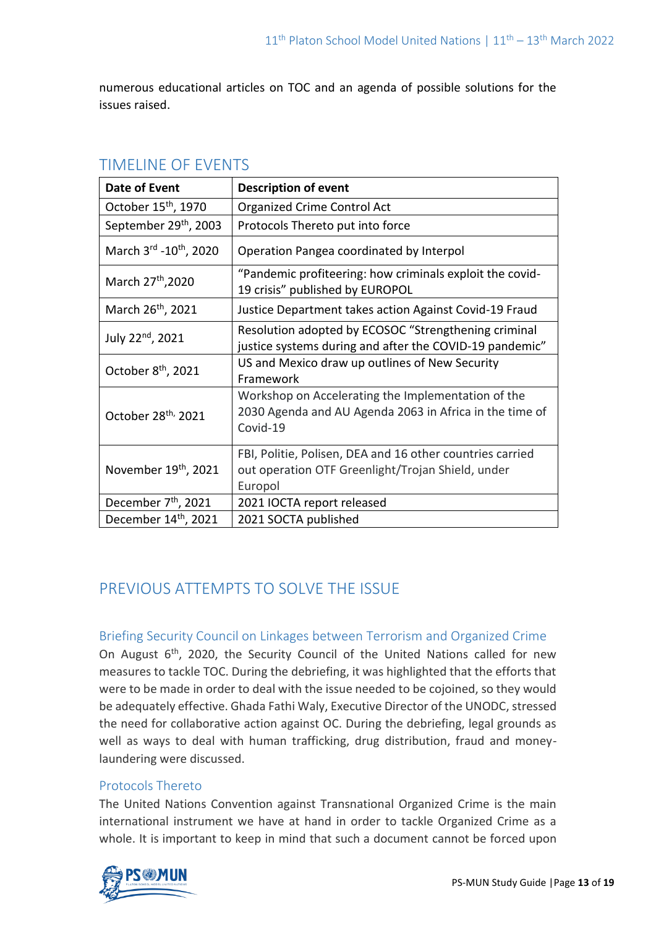numerous educational articles on TOC and an agenda of possible solutions for the issues raised.

| Date of Event                       | <b>Description of event</b>                                                                                               |
|-------------------------------------|---------------------------------------------------------------------------------------------------------------------------|
| October 15 <sup>th</sup> , 1970     | <b>Organized Crime Control Act</b>                                                                                        |
| September 29th, 2003                | Protocols Thereto put into force                                                                                          |
| March 3rd - 10 <sup>th</sup> , 2020 | Operation Pangea coordinated by Interpol                                                                                  |
| March 27 <sup>th</sup> , 2020       | "Pandemic profiteering: how criminals exploit the covid-<br>19 crisis" published by EUROPOL                               |
| March 26 <sup>th</sup> , 2021       | Justice Department takes action Against Covid-19 Fraud                                                                    |
| July 22 <sup>nd</sup> , 2021        | Resolution adopted by ECOSOC "Strengthening criminal<br>justice systems during and after the COVID-19 pandemic"           |
| October 8 <sup>th</sup> , 2021      | US and Mexico draw up outlines of New Security<br>Framework                                                               |
| October 28 <sup>th,</sup> 2021      | Workshop on Accelerating the Implementation of the<br>2030 Agenda and AU Agenda 2063 in Africa in the time of<br>Covid-19 |
| November 19th, 2021                 | FBI, Politie, Polisen, DEA and 16 other countries carried<br>out operation OTF Greenlight/Trojan Shield, under<br>Europol |
| December 7 <sup>th</sup> , 2021     | 2021 IOCTA report released                                                                                                |
| December 14 <sup>th</sup> , 2021    | 2021 SOCTA published                                                                                                      |

# TIMELINE OF EVENTS

# PREVIOUS ATTEMPTS TO SOLVE THE ISSUE

# Briefing Security Council on Linkages between Terrorism and Organized Crime

On August 6<sup>th</sup>, 2020, the Security Council of the United Nations called for new measures to tackle TOC. During the debriefing, it was highlighted that the efforts that were to be made in order to deal with the issue needed to be cojoined, so they would be adequately effective. Ghada Fathi Waly, Executive Director of the UNODC, stressed the need for collaborative action against OC. During the debriefing, legal grounds as well as ways to deal with human trafficking, drug distribution, fraud and moneylaundering were discussed.

# Protocols Thereto

The United Nations Convention against Transnational Organized Crime is the main international instrument we have at hand in order to tackle Organized Crime as a whole. It is important to keep in mind that such a document cannot be forced upon

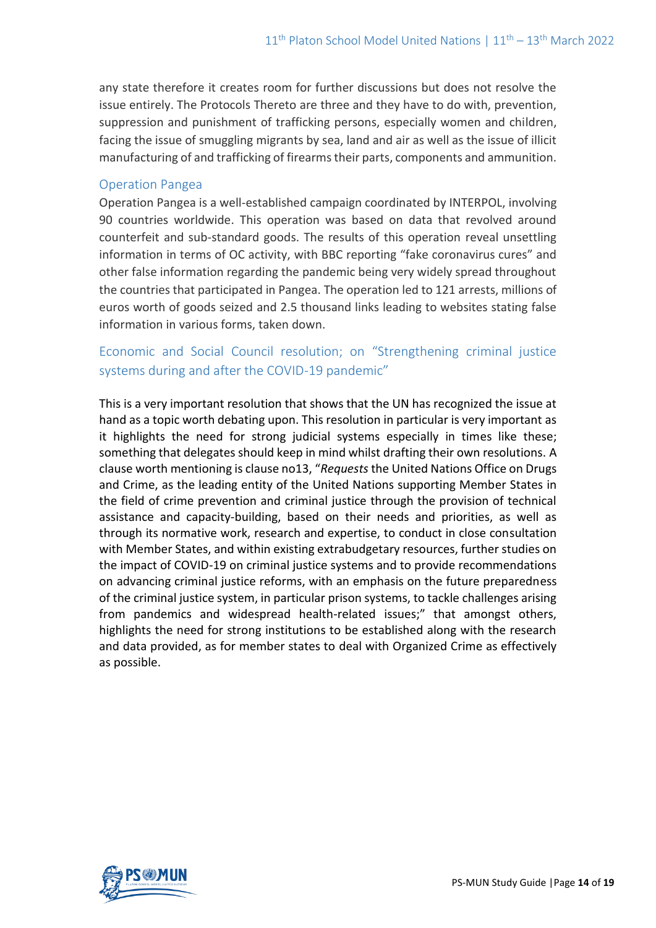any state therefore it creates room for further discussions but does not resolve the issue entirely. The Protocols Thereto are three and they have to do with, prevention, suppression and punishment of trafficking persons, especially women and children, facing the issue of smuggling migrants by sea, land and air as well as the issue of illicit manufacturing of and trafficking of firearms their parts, components and ammunition.

## Operation Pangea

Operation Pangea is a well-established campaign coordinated by INTERPOL, involving 90 countries worldwide. This operation was based on data that revolved around counterfeit and sub-standard goods. The results of this operation reveal unsettling information in terms of OC activity, with BBC reporting "fake coronavirus cures" and other false information regarding the pandemic being very widely spread throughout the countries that participated in Pangea. The operation led to 121 arrests, millions of euros worth of goods seized and 2.5 thousand links leading to websites stating false information in various forms, taken down.

# Economic and Social Council resolution; on "Strengthening criminal justice systems during and after the COVID-19 pandemic"

This is a very important resolution that shows that the UN has recognized the issue at hand as a topic worth debating upon. This resolution in particular is very important as it highlights the need for strong judicial systems especially in times like these; something that delegates should keep in mind whilst drafting their own resolutions. A clause worth mentioning is clause no13, "*Requests* the United Nations Office on Drugs and Crime, as the leading entity of the United Nations supporting Member States in the field of crime prevention and criminal justice through the provision of technical assistance and capacity-building, based on their needs and priorities, as well as through its normative work, research and expertise, to conduct in close consultation with Member States, and within existing extrabudgetary resources, further studies on the impact of COVID-19 on criminal justice systems and to provide recommendations on advancing criminal justice reforms, with an emphasis on the future preparedness of the criminal justice system, in particular prison systems, to tackle challenges arising from pandemics and widespread health-related issues;" that amongst others, highlights the need for strong institutions to be established along with the research and data provided, as for member states to deal with Organized Crime as effectively as possible.

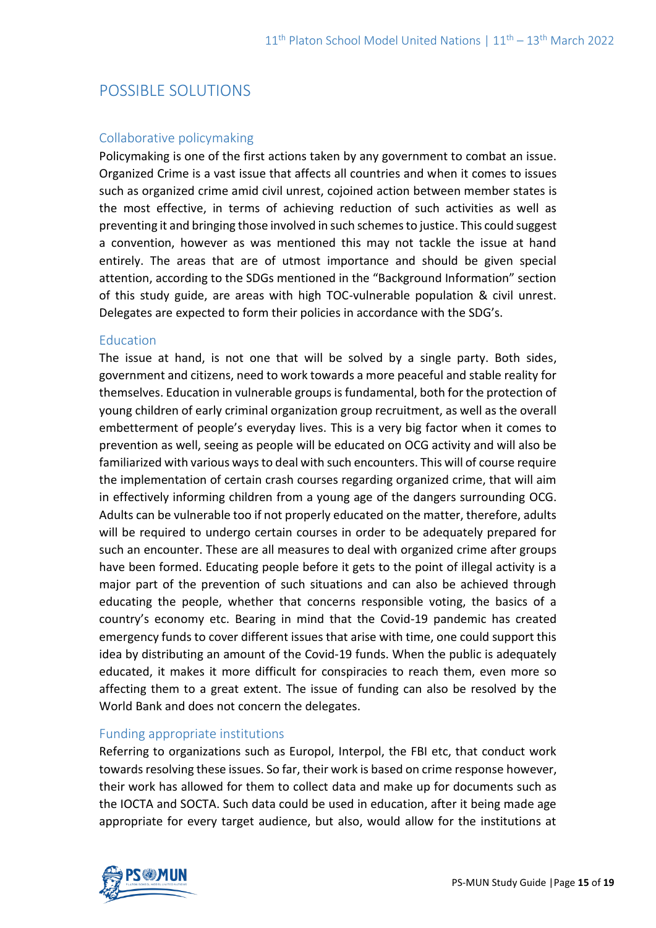# POSSIBLE SOLUTIONS

## Collaborative policymaking

Policymaking is one of the first actions taken by any government to combat an issue. Organized Crime is a vast issue that affects all countries and when it comes to issues such as organized crime amid civil unrest, cojoined action between member states is the most effective, in terms of achieving reduction of such activities as well as preventing it and bringing those involved in such schemes to justice. This could suggest a convention, however as was mentioned this may not tackle the issue at hand entirely. The areas that are of utmost importance and should be given special attention, according to the SDGs mentioned in the "Background Information" section of this study guide, are areas with high TOC-vulnerable population & civil unrest. Delegates are expected to form their policies in accordance with the SDG's.

#### Education

The issue at hand, is not one that will be solved by a single party. Both sides, government and citizens, need to work towards a more peaceful and stable reality for themselves. Education in vulnerable groups is fundamental, both for the protection of young children of early criminal organization group recruitment, as well as the overall embetterment of people's everyday lives. This is a very big factor when it comes to prevention as well, seeing as people will be educated on OCG activity and will also be familiarized with various ways to deal with such encounters. This will of course require the implementation of certain crash courses regarding organized crime, that will aim in effectively informing children from a young age of the dangers surrounding OCG. Adults can be vulnerable too if not properly educated on the matter, therefore, adults will be required to undergo certain courses in order to be adequately prepared for such an encounter. These are all measures to deal with organized crime after groups have been formed. Educating people before it gets to the point of illegal activity is a major part of the prevention of such situations and can also be achieved through educating the people, whether that concerns responsible voting, the basics of a country's economy etc. Bearing in mind that the Covid-19 pandemic has created emergency funds to cover different issues that arise with time, one could support this idea by distributing an amount of the Covid-19 funds. When the public is adequately educated, it makes it more difficult for conspiracies to reach them, even more so affecting them to a great extent. The issue of funding can also be resolved by the World Bank and does not concern the delegates.

#### Funding appropriate institutions

Referring to organizations such as Europol, Interpol, the FBI etc, that conduct work towards resolving these issues. So far, their work is based on crime response however, their work has allowed for them to collect data and make up for documents such as the IOCTA and SOCTA. Such data could be used in education, after it being made age appropriate for every target audience, but also, would allow for the institutions at

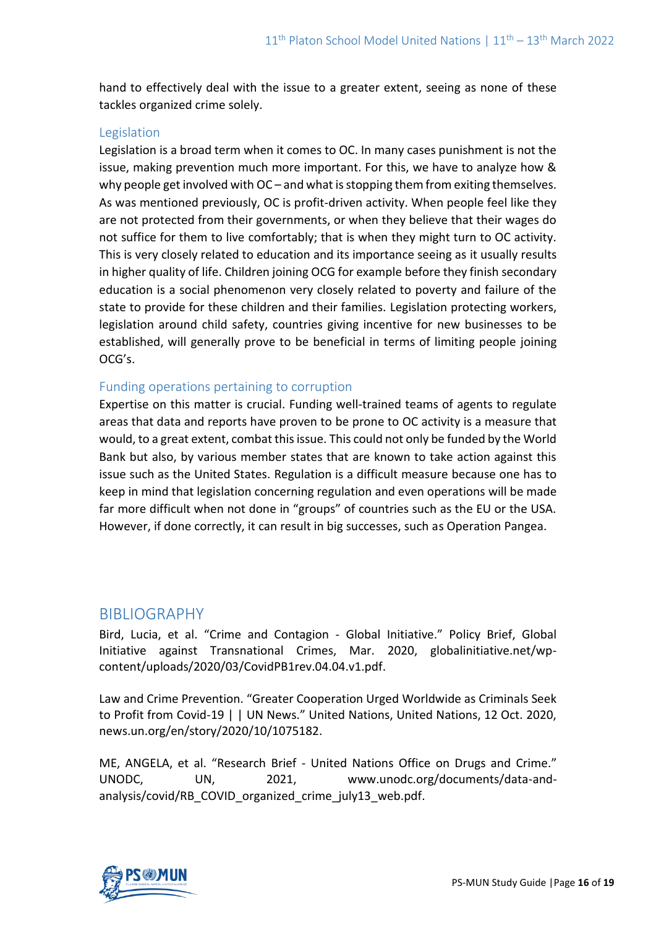hand to effectively deal with the issue to a greater extent, seeing as none of these tackles organized crime solely.

### Legislation

Legislation is a broad term when it comes to OC. In many cases punishment is not the issue, making prevention much more important. For this, we have to analyze how & why people get involved with OC – and what is stopping them from exiting themselves. As was mentioned previously, OC is profit-driven activity. When people feel like they are not protected from their governments, or when they believe that their wages do not suffice for them to live comfortably; that is when they might turn to OC activity. This is very closely related to education and its importance seeing as it usually results in higher quality of life. Children joining OCG for example before they finish secondary education is a social phenomenon very closely related to poverty and failure of the state to provide for these children and their families. Legislation protecting workers, legislation around child safety, countries giving incentive for new businesses to be established, will generally prove to be beneficial in terms of limiting people joining OCG's.

### Funding operations pertaining to corruption

Expertise on this matter is crucial. Funding well-trained teams of agents to regulate areas that data and reports have proven to be prone to OC activity is a measure that would, to a great extent, combat this issue. This could not only be funded by the World Bank but also, by various member states that are known to take action against this issue such as the United States. Regulation is a difficult measure because one has to keep in mind that legislation concerning regulation and even operations will be made far more difficult when not done in "groups" of countries such as the EU or the USA. However, if done correctly, it can result in big successes, such as Operation Pangea.

# BIBLIOGRAPHY

Bird, Lucia, et al. "Crime and Contagion - Global Initiative." Policy Brief, Global Initiative against Transnational Crimes, Mar. 2020, globalinitiative.net/wpcontent/uploads/2020/03/CovidPB1rev.04.04.v1.pdf.

Law and Crime Prevention. "Greater Cooperation Urged Worldwide as Criminals Seek to Profit from Covid-19 | | UN News." United Nations, United Nations, 12 Oct. 2020, news.un.org/en/story/2020/10/1075182.

ME, ANGELA, et al. "Research Brief - United Nations Office on Drugs and Crime." UNODC, UN, 2021, www.unodc.org/documents/data-andanalysis/covid/RB\_COVID\_organized\_crime\_july13\_web.pdf.

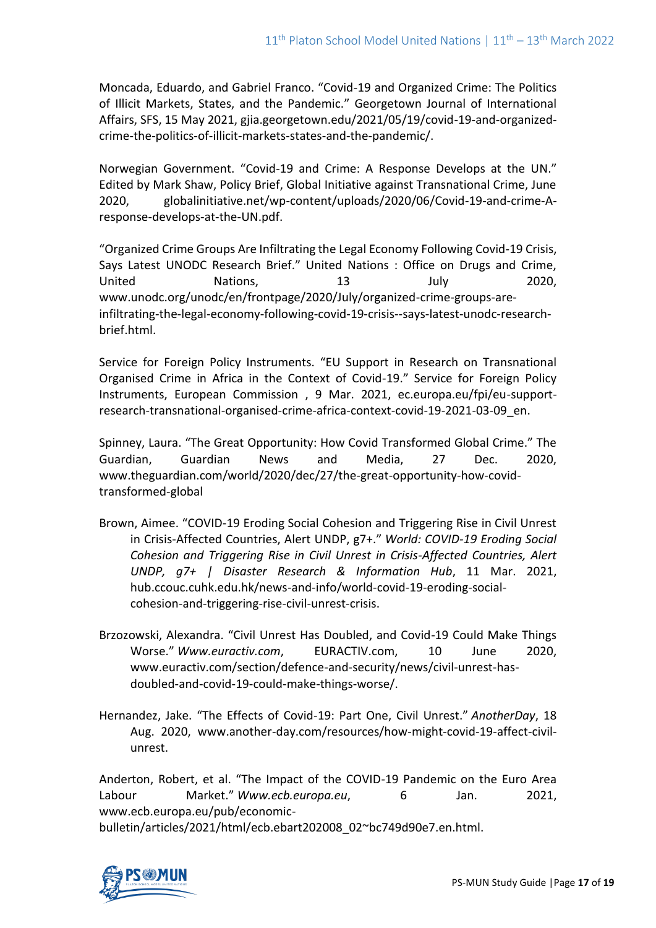Moncada, Eduardo, and Gabriel Franco. "Covid-19 and Organized Crime: The Politics of Illicit Markets, States, and the Pandemic." Georgetown Journal of International Affairs, SFS, 15 May 2021, gjia.georgetown.edu/2021/05/19/covid-19-and-organizedcrime-the-politics-of-illicit-markets-states-and-the-pandemic/.

Norwegian Government. "Covid-19 and Crime: A Response Develops at the UN." Edited by Mark Shaw, Policy Brief, Global Initiative against Transnational Crime, June 2020, globalinitiative.net/wp-content/uploads/2020/06/Covid-19-and-crime-Aresponse-develops-at-the-UN.pdf.

"Organized Crime Groups Are Infiltrating the Legal Economy Following Covid-19 Crisis, Says Latest UNODC Research Brief." United Nations : Office on Drugs and Crime, United Nations, 13 July 2020, www.unodc.org/unodc/en/frontpage/2020/July/organized-crime-groups-areinfiltrating-the-legal-economy-following-covid-19-crisis--says-latest-unodc-researchbrief.html.

Service for Foreign Policy Instruments. "EU Support in Research on Transnational Organised Crime in Africa in the Context of Covid-19." Service for Foreign Policy Instruments, European Commission , 9 Mar. 2021, ec.europa.eu/fpi/eu-supportresearch-transnational-organised-crime-africa-context-covid-19-2021-03-09\_en.

Spinney, Laura. "The Great Opportunity: How Covid Transformed Global Crime." The Guardian, Guardian News and Media, 27 Dec. 2020, www.theguardian.com/world/2020/dec/27/the-great-opportunity-how-covidtransformed-global

- Brown, Aimee. "COVID-19 Eroding Social Cohesion and Triggering Rise in Civil Unrest in Crisis-Affected Countries, Alert UNDP, g7+." *World: COVID-19 Eroding Social Cohesion and Triggering Rise in Civil Unrest in Crisis-Affected Countries, Alert UNDP, g7+ | Disaster Research & Information Hub*, 11 Mar. 2021, hub.ccouc.cuhk.edu.hk/news-and-info/world-covid-19-eroding-socialcohesion-and-triggering-rise-civil-unrest-crisis.
- Brzozowski, Alexandra. "Civil Unrest Has Doubled, and Covid-19 Could Make Things Worse." *Www.euractiv.com*, EURACTIV.com, 10 June 2020, www.euractiv.com/section/defence-and-security/news/civil-unrest-hasdoubled-and-covid-19-could-make-things-worse/.
- Hernandez, Jake. "The Effects of Covid-19: Part One, Civil Unrest." *AnotherDay*, 18 Aug. 2020, www.another-day.com/resources/how-might-covid-19-affect-civilunrest.

Anderton, Robert, et al. "The Impact of the COVID-19 Pandemic on the Euro Area Labour Market." *Www.ecb.europa.eu*, 6 Jan. 2021, www.ecb.europa.eu/pub/economicbulletin/articles/2021/html/ecb.ebart202008\_02~bc749d90e7.en.html.

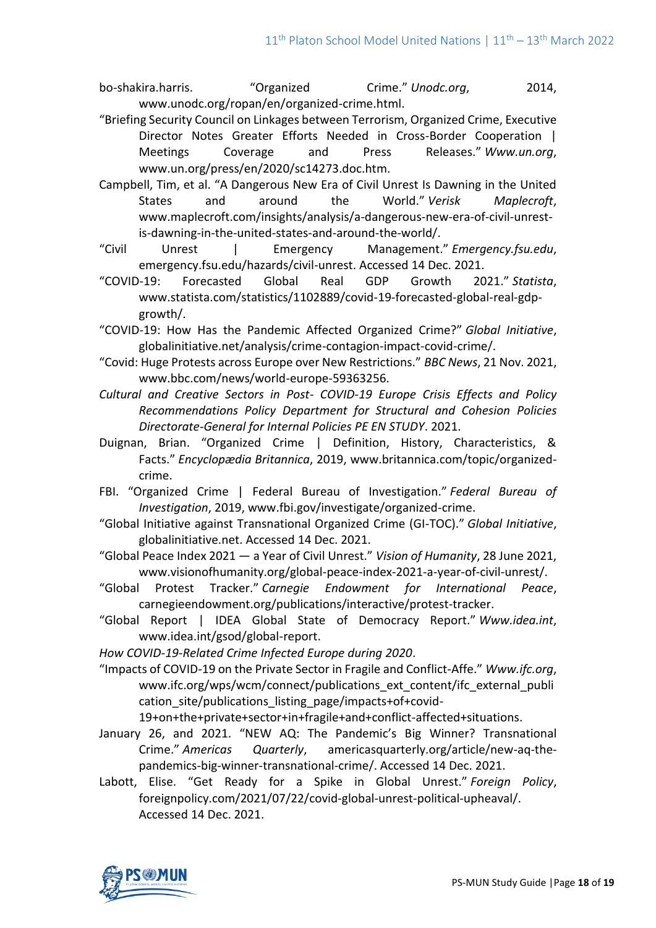bo-shakira.harris. "Organized Crime." *Unodc.org*, 2014, www.unodc.org/ropan/en/organized-crime.html.

- "Briefing Security Council on Linkages between Terrorism, Organized Crime, Executive Director Notes Greater Efforts Needed in Cross-Border Cooperation | Meetings Coverage and Press Releases." *Www.un.org*, www.un.org/press/en/2020/sc14273.doc.htm.
- Campbell, Tim, et al. "A Dangerous New Era of Civil Unrest Is Dawning in the United States and around the World." *Verisk Maplecroft*, www.maplecroft.com/insights/analysis/a-dangerous-new-era-of-civil-unrestis-dawning-in-the-united-states-and-around-the-world/.
- "Civil Unrest | Emergency Management." *Emergency.fsu.edu*, emergency.fsu.edu/hazards/civil-unrest. Accessed 14 Dec. 2021.
- "COVID-19: Forecasted Global Real GDP Growth 2021." *Statista*, www.statista.com/statistics/1102889/covid-19-forecasted-global-real-gdpgrowth/.
- "COVID-19: How Has the Pandemic Affected Organized Crime?" *Global Initiative*, globalinitiative.net/analysis/crime-contagion-impact-covid-crime/.
- "Covid: Huge Protests across Europe over New Restrictions." *BBC News*, 21 Nov. 2021, www.bbc.com/news/world-europe-59363256.
- *Cultural and Creative Sectors in Post- COVID-19 Europe Crisis Effects and Policy Recommendations Policy Department for Structural and Cohesion Policies Directorate-General for Internal Policies PE EN STUDY*. 2021.
- Duignan, Brian. "Organized Crime | Definition, History, Characteristics, & Facts." *Encyclopædia Britannica*, 2019, www.britannica.com/topic/organizedcrime.
- FBI. "Organized Crime | Federal Bureau of Investigation." *Federal Bureau of Investigation*, 2019, www.fbi.gov/investigate/organized-crime.
- "Global Initiative against Transnational Organized Crime (GI-TOC)." *Global Initiative*, globalinitiative.net. Accessed 14 Dec. 2021.
- "Global Peace Index 2021 a Year of Civil Unrest." *Vision of Humanity*, 28 June 2021, www.visionofhumanity.org/global-peace-index-2021-a-year-of-civil-unrest/.
- "Global Protest Tracker." *Carnegie Endowment for International Peace*, carnegieendowment.org/publications/interactive/protest-tracker.
- "Global Report | IDEA Global State of Democracy Report." *Www.idea.int*, www.idea.int/gsod/global-report.
- *How COVID-19-Related Crime Infected Europe during 2020*.

"Impacts of COVID-19 on the Private Sector in Fragile and Conflict-Affe." *Www.ifc.org*, www.ifc.org/wps/wcm/connect/publications\_ext\_content/ifc\_external\_publi cation site/publications listing page/impacts+of+covid-

19+on+the+private+sector+in+fragile+and+conflict-affected+situations.

- January 26, and 2021. "NEW AQ: The Pandemic's Big Winner? Transnational Crime." *Americas Quarterly*, americasquarterly.org/article/new-aq-thepandemics-big-winner-transnational-crime/. Accessed 14 Dec. 2021.
- Labott, Elise. "Get Ready for a Spike in Global Unrest." *Foreign Policy*, foreignpolicy.com/2021/07/22/covid-global-unrest-political-upheaval/. Accessed 14 Dec. 2021.